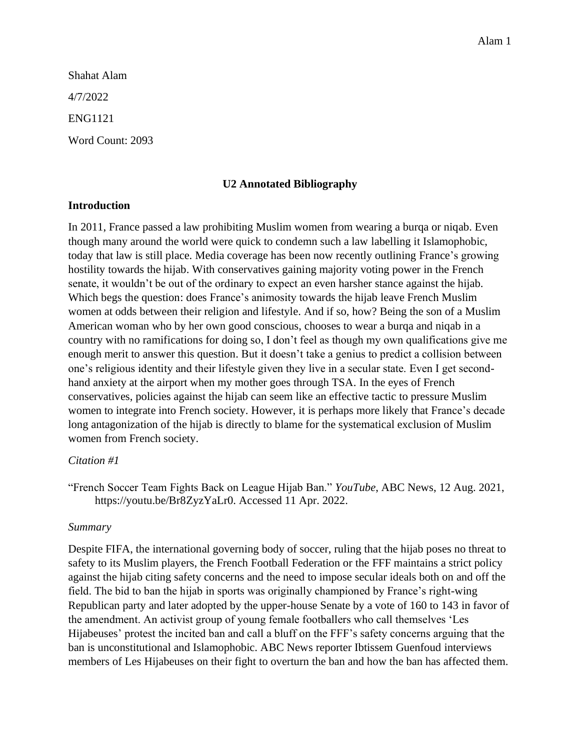Shahat Alam 4/7/2022 ENG1121 Word Count: 2093

### **U2 Annotated Bibliography**

### **Introduction**

In 2011, France passed a law prohibiting Muslim women from wearing a burqa or niqab. Even though many around the world were quick to condemn such a law labelling it Islamophobic, today that law is still place. Media coverage has been now recently outlining France's growing hostility towards the hijab. With conservatives gaining majority voting power in the French senate, it wouldn't be out of the ordinary to expect an even harsher stance against the hijab. Which begs the question: does France's animosity towards the hijab leave French Muslim women at odds between their religion and lifestyle. And if so, how? Being the son of a Muslim American woman who by her own good conscious, chooses to wear a burqa and niqab in a country with no ramifications for doing so, I don't feel as though my own qualifications give me enough merit to answer this question. But it doesn't take a genius to predict a collision between one's religious identity and their lifestyle given they live in a secular state. Even I get secondhand anxiety at the airport when my mother goes through TSA. In the eyes of French conservatives, policies against the hijab can seem like an effective tactic to pressure Muslim women to integrate into French society. However, it is perhaps more likely that France's decade long antagonization of the hijab is directly to blame for the systematical exclusion of Muslim women from French society.

#### *Citation #1*

"French Soccer Team Fights Back on League Hijab Ban." *YouTube*, ABC News, 12 Aug. 2021, https://youtu.be/Br8ZyzYaLr0. Accessed 11 Apr. 2022.

#### *Summary*

Despite FIFA, the international governing body of soccer, ruling that the hijab poses no threat to safety to its Muslim players, the French Football Federation or the FFF maintains a strict policy against the hijab citing safety concerns and the need to impose secular ideals both on and off the field. The bid to ban the hijab in sports was originally championed by France's right-wing Republican party and later adopted by the upper-house Senate by a vote of 160 to 143 in favor of the amendment. An activist group of young female footballers who call themselves 'Les Hijabeuses' protest the incited ban and call a bluff on the FFF's safety concerns arguing that the ban is unconstitutional and Islamophobic. ABC News reporter Ibtissem Guenfoud interviews members of Les Hijabeuses on their fight to overturn the ban and how the ban has affected them.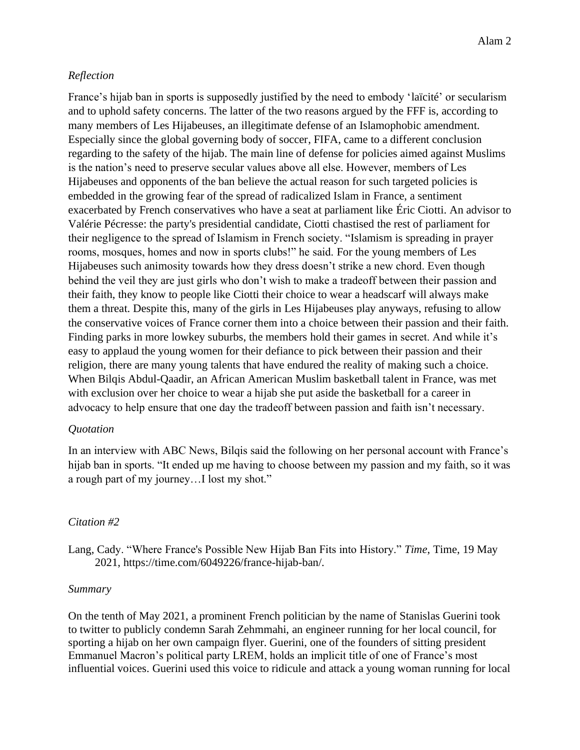## *Reflection*

France's hijab ban in sports is supposedly justified by the need to embody 'laïcité' or secularism and to uphold safety concerns. The latter of the two reasons argued by the FFF is, according to many members of Les Hijabeuses, an illegitimate defense of an Islamophobic amendment. Especially since the global governing body of soccer, FIFA, came to a different conclusion regarding to the safety of the hijab. The main line of defense for policies aimed against Muslims is the nation's need to preserve secular values above all else. However, members of Les Hijabeuses and opponents of the ban believe the actual reason for such targeted policies is embedded in the growing fear of the spread of radicalized Islam in France, a sentiment exacerbated by French conservatives who have a seat at parliament like Éric Ciotti. An advisor to Valérie Pécresse: the party's presidential candidate, Ciotti chastised the rest of parliament for their negligence to the spread of Islamism in French society. "Islamism is spreading in prayer rooms, mosques, homes and now in sports clubs!" he said. For the young members of Les Hijabeuses such animosity towards how they dress doesn't strike a new chord. Even though behind the veil they are just girls who don't wish to make a tradeoff between their passion and their faith, they know to people like Ciotti their choice to wear a headscarf will always make them a threat. Despite this, many of the girls in Les Hijabeuses play anyways, refusing to allow the conservative voices of France corner them into a choice between their passion and their faith. Finding parks in more lowkey suburbs, the members hold their games in secret. And while it's easy to applaud the young women for their defiance to pick between their passion and their religion, there are many young talents that have endured the reality of making such a choice. When Bilqis Abdul-Qaadir, an African American Muslim basketball talent in France, was met with exclusion over her choice to wear a hijab she put aside the basketball for a career in advocacy to help ensure that one day the tradeoff between passion and faith isn't necessary.

### *Quotation*

In an interview with ABC News, Bilqis said the following on her personal account with France's hijab ban in sports. "It ended up me having to choose between my passion and my faith, so it was a rough part of my journey…I lost my shot."

### *Citation #2*

Lang, Cady. "Where France's Possible New Hijab Ban Fits into History." *Time*, Time, 19 May 2021, https://time.com/6049226/france-hijab-ban/.

### *Summary*

On the tenth of May 2021, a prominent French politician by the name of Stanislas Guerini took to twitter to publicly condemn Sarah Zehmmahi, an engineer running for her local council, for sporting a hijab on her own campaign flyer. Guerini, one of the founders of sitting president Emmanuel Macron's political party LREM, holds an implicit title of one of France's most influential voices. Guerini used this voice to ridicule and attack a young woman running for local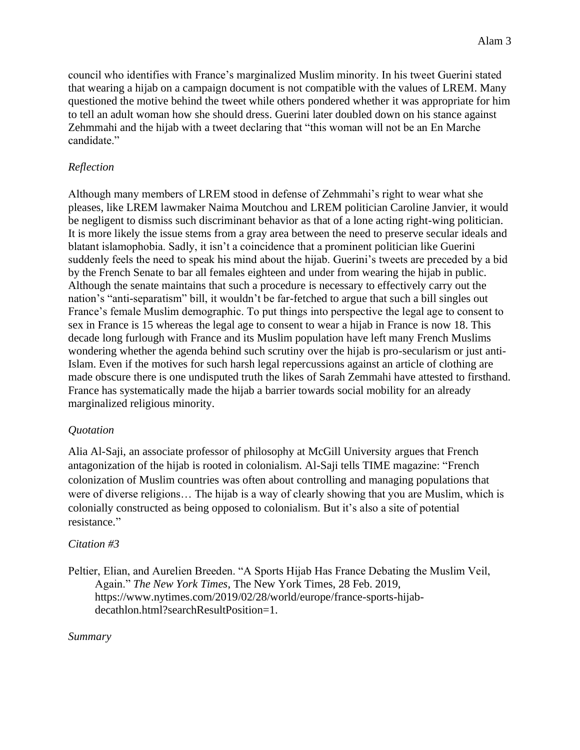council who identifies with France's marginalized Muslim minority. In his tweet Guerini stated that wearing a hijab on a campaign document is not compatible with the values of LREM. Many questioned the motive behind the tweet while others pondered whether it was appropriate for him to tell an adult woman how she should dress. Guerini later doubled down on his stance against Zehmmahi and the hijab with a tweet declaring that "this woman will not be an En Marche candidate."

# *Reflection*

Although many members of LREM stood in defense of Zehmmahi's right to wear what she pleases, like LREM lawmaker Naima Moutchou and LREM politician Caroline Janvier, it would be negligent to dismiss such discriminant behavior as that of a lone acting right-wing politician. It is more likely the issue stems from a gray area between the need to preserve secular ideals and blatant islamophobia. Sadly, it isn't a coincidence that a prominent politician like Guerini suddenly feels the need to speak his mind about the hijab. Guerini's tweets are preceded by a bid by the French Senate to bar all females eighteen and under from wearing the hijab in public. Although the senate maintains that such a procedure is necessary to effectively carry out the nation's "anti-separatism" bill, it wouldn't be far-fetched to argue that such a bill singles out France's female Muslim demographic. To put things into perspective the legal age to consent to sex in France is 15 whereas the legal age to consent to wear a hijab in France is now 18. This decade long furlough with France and its Muslim population have left many French Muslims wondering whether the agenda behind such scrutiny over the hijab is pro-secularism or just anti-Islam. Even if the motives for such harsh legal repercussions against an article of clothing are made obscure there is one undisputed truth the likes of Sarah Zemmahi have attested to firsthand. France has systematically made the hijab a barrier towards social mobility for an already marginalized religious minority.

### *Quotation*

Alia Al-Saji, an associate professor of philosophy at McGill University argues that French antagonization of the hijab is rooted in colonialism. Al-Saji tells TIME magazine: "French colonization of Muslim countries was often about controlling and managing populations that were of diverse religions… The hijab is a way of clearly showing that you are Muslim, which is colonially constructed as being opposed to colonialism. But it's also a site of potential resistance."

### *Citation #3*

Peltier, Elian, and Aurelien Breeden. "A Sports Hijab Has France Debating the Muslim Veil, Again." *The New York Times*, The New York Times, 28 Feb. 2019, https://www.nytimes.com/2019/02/28/world/europe/france-sports-hijabdecathlon.html?searchResultPosition=1.

#### *Summary*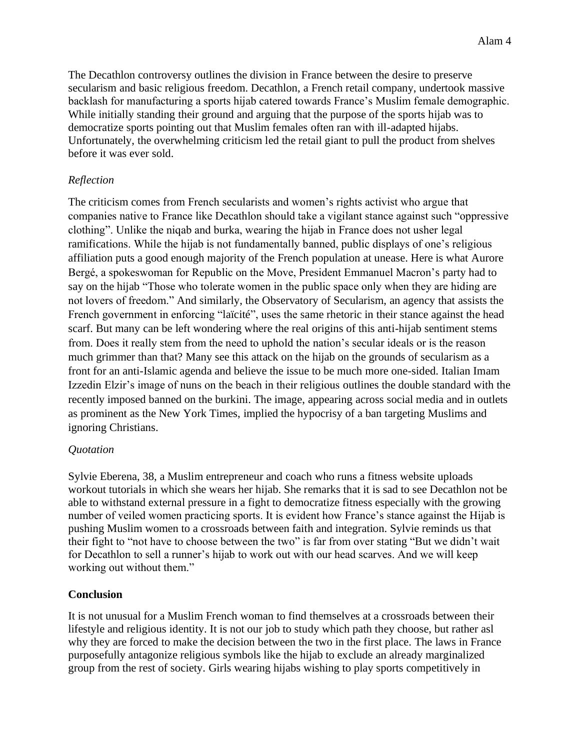The Decathlon controversy outlines the division in France between the desire to preserve secularism and basic religious freedom. Decathlon, a French retail company, undertook massive backlash for manufacturing a sports hijab catered towards France's Muslim female demographic. While initially standing their ground and arguing that the purpose of the sports hijab was to democratize sports pointing out that Muslim females often ran with ill-adapted hijabs. Unfortunately, the overwhelming criticism led the retail giant to pull the product from shelves before it was ever sold.

## *Reflection*

The criticism comes from French secularists and women's rights activist who argue that companies native to France like Decathlon should take a vigilant stance against such "oppressive clothing". Unlike the niqab and burka, wearing the hijab in France does not usher legal ramifications. While the hijab is not fundamentally banned, public displays of one's religious affiliation puts a good enough majority of the French population at unease. Here is what Aurore Bergé, a spokeswoman for Republic on the Move, President Emmanuel Macron's party had to say on the hijab "Those who tolerate women in the public space only when they are hiding are not lovers of freedom." And similarly, the Observatory of Secularism, an agency that assists the French government in enforcing "laïcité", uses the same rhetoric in their stance against the head scarf. But many can be left wondering where the real origins of this anti-hijab sentiment stems from. Does it really stem from the need to uphold the nation's secular ideals or is the reason much grimmer than that? Many see this attack on the hijab on the grounds of secularism as a front for an anti-Islamic agenda and believe the issue to be much more one-sided. Italian Imam Izzedin Elzir's image of nuns on the beach in their religious outlines the double standard with the recently imposed banned on the burkini. The image, appearing across social media and in outlets as prominent as the New York Times, implied the hypocrisy of a ban targeting Muslims and ignoring Christians.

### *Quotation*

Sylvie Eberena, 38, a Muslim entrepreneur and coach who runs a fitness website uploads workout tutorials in which she wears her hijab. She remarks that it is sad to see Decathlon not be able to withstand external pressure in a fight to democratize fitness especially with the growing number of veiled women practicing sports. It is evident how France's stance against the Hijab is pushing Muslim women to a crossroads between faith and integration. Sylvie reminds us that their fight to "not have to choose between the two" is far from over stating "But we didn't wait for Decathlon to sell a runner's hijab to work out with our head scarves. And we will keep working out without them."

### **Conclusion**

It is not unusual for a Muslim French woman to find themselves at a crossroads between their lifestyle and religious identity. It is not our job to study which path they choose, but rather asl why they are forced to make the decision between the two in the first place. The laws in France purposefully antagonize religious symbols like the hijab to exclude an already marginalized group from the rest of society. Girls wearing hijabs wishing to play sports competitively in